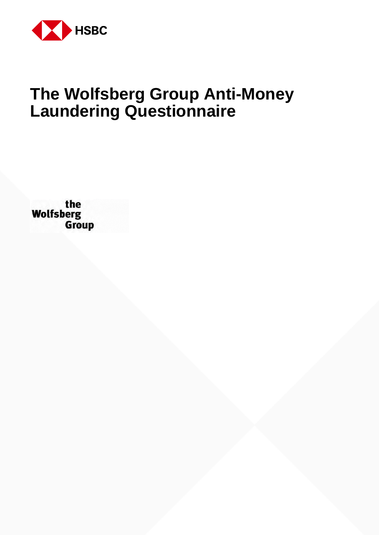

# **The Wolfsberg Group Anti-Money Laundering Questionnaire**

the<br>Wolfsberg<br>Group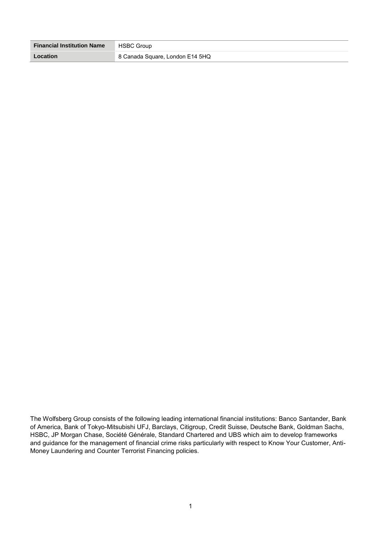| <b>Financial Institution Name</b> | <b>HSBC Group</b>               |
|-----------------------------------|---------------------------------|
| Location                          | 8 Canada Square, London E14 5HQ |

The Wolfsberg Group consists of the following leading international financial institutions: Banco Santander, Bank of America, Bank of Tokyo-Mitsubishi UFJ, Barclays, Citigroup, Credit Suisse, Deutsche Bank, Goldman Sachs, HSBC, JP Morgan Chase, Société Générale, Standard Chartered and UBS which aim to develop frameworks and guidance for the management of financial crime risks particularly with respect to Know Your Customer, Anti-Money Laundering and Counter Terrorist Financing policies.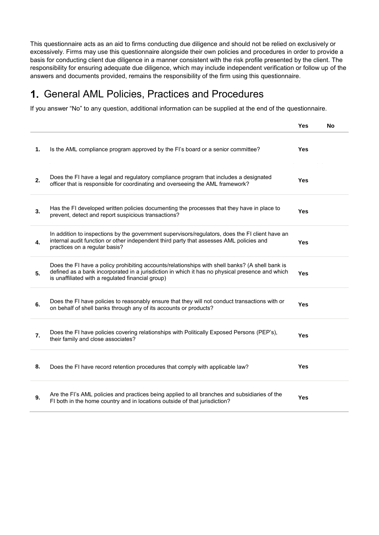This questionnaire acts as an aid to firms conducting due diligence and should not be relied on exclusively or excessively. Firms may use this questionnaire alongside their own policies and procedures in order to provide a basis for conducting client due diligence in a manner consistent with the risk profile presented by the client. The responsibility for ensuring adequate due diligence, which may include independent verification or follow up of the answers and documents provided, remains the responsibility of the firm using this questionnaire.

#### 1. General AML Policies, Practices and Procedures

If you answer "No" to any question, additional information can be supplied at the end of the questionnaire.

|    |                                                                                                                                                                                                                                                         | Yes        | No |
|----|---------------------------------------------------------------------------------------------------------------------------------------------------------------------------------------------------------------------------------------------------------|------------|----|
| 1. | Is the AML compliance program approved by the FI's board or a senior committee?                                                                                                                                                                         | <b>Yes</b> |    |
| 2. | Does the FI have a legal and regulatory compliance program that includes a designated<br>officer that is responsible for coordinating and overseeing the AML framework?                                                                                 | <b>Yes</b> |    |
| 3. | Has the FI developed written policies documenting the processes that they have in place to<br>prevent, detect and report suspicious transactions?                                                                                                       | <b>Yes</b> |    |
| 4. | In addition to inspections by the government supervisors/regulators, does the FI client have an<br>internal audit function or other independent third party that assesses AML policies and<br>practices on a regular basis?                             | <b>Yes</b> |    |
| 5. | Does the FI have a policy prohibiting accounts/relationships with shell banks? (A shell bank is<br>defined as a bank incorporated in a jurisdiction in which it has no physical presence and which<br>is unaffiliated with a regulated financial group) | Yes        |    |
| 6. | Does the FI have policies to reasonably ensure that they will not conduct transactions with or<br>on behalf of shell banks through any of its accounts or products?                                                                                     | Yes        |    |
| 7. | Does the FI have policies covering relationships with Politically Exposed Persons (PEP's),<br>their family and close associates?                                                                                                                        | Yes        |    |
| 8. | Does the FI have record retention procedures that comply with applicable law?                                                                                                                                                                           | <b>Yes</b> |    |
| 9. | Are the FI's AML policies and practices being applied to all branches and subsidiaries of the<br>FI both in the home country and in locations outside of that jurisdiction?                                                                             | Yes        |    |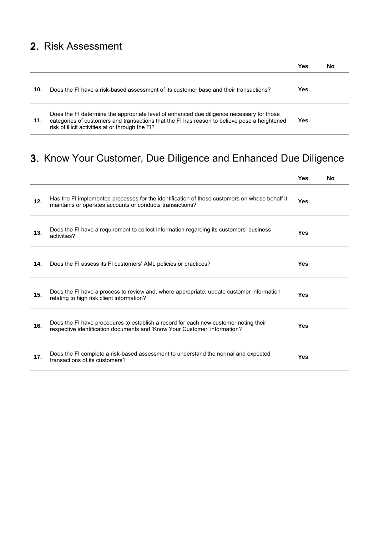## 2. Risk Assessment

|     |                                                                                                                                                                                                                                               | Yes | No |
|-----|-----------------------------------------------------------------------------------------------------------------------------------------------------------------------------------------------------------------------------------------------|-----|----|
| 10. | Does the FI have a risk-based assessment of its customer base and their transactions?                                                                                                                                                         | Yes |    |
| 11. | Does the FI determine the appropriate level of enhanced due diligence necessary for those<br>categories of customers and transactions that the FI has reason to believe pose a heightened<br>risk of illicit activities at or through the FI? | Yes |    |

## 3. Know Your Customer, Due Diligence and Enhanced Due Diligence

|     |                                                                                                                                                                   | Yes        | <b>No</b> |
|-----|-------------------------------------------------------------------------------------------------------------------------------------------------------------------|------------|-----------|
| 12. | Has the FI implemented processes for the identification of those customers on whose behalf it<br>maintains or operates accounts or conducts transactions?         | <b>Yes</b> |           |
| 13. | Does the FI have a requirement to collect information regarding its customers' business<br>activities?                                                            | Yes        |           |
| 14. | Does the FI assess its FI customers' AML policies or practices?                                                                                                   | Yes        |           |
| 15. | Does the FI have a process to review and, where appropriate, update customer information<br>relating to high risk client information?                             | Yes        |           |
| 16. | Does the FI have procedures to establish a record for each new customer noting their<br>respective identification documents and 'Know Your Customer' information? | Yes        |           |
| 17. | Does the FI complete a risk-based assessment to understand the normal and expected<br>transactions of its customers?                                              | Yes        |           |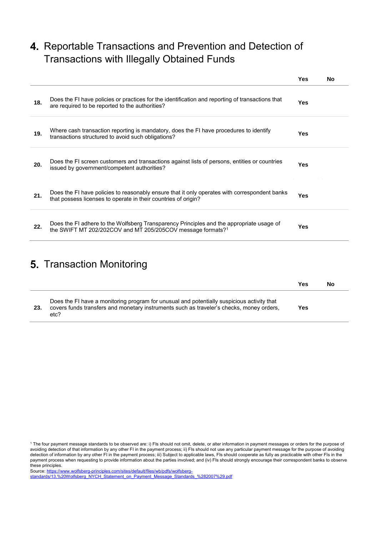### 4. Reportable Transactions and Prevention and Detection of Transactions with Illegally Obtained Funds

|     |                                                                                                                                                                     | Yes        | Nο |
|-----|---------------------------------------------------------------------------------------------------------------------------------------------------------------------|------------|----|
| 18. | Does the FI have policies or practices for the identification and reporting of transactions that<br>are required to be reported to the authorities?                 | <b>Yes</b> |    |
| 19. | Where cash transaction reporting is mandatory, does the FI have procedures to identify<br>transactions structured to avoid such obligations?                        | Yes        |    |
| 20. | Does the FI screen customers and transactions against lists of persons, entities or countries<br>issued by government/competent authorities?                        | Yes        |    |
| 21. | Does the FI have policies to reasonably ensure that it only operates with correspondent banks<br>that possess licenses to operate in their countries of origin?     | Yes        |    |
| 22. | Does the FI adhere to the Wolfsberg Transparency Principles and the appropriate usage of<br>the SWIFT MT 202/202COV and MT 205/205COV message formats? <sup>1</sup> | Yes        |    |

### 5. Transaction Monitoring

|     |                                                                                                                                                                                                | Yes | No |
|-----|------------------------------------------------------------------------------------------------------------------------------------------------------------------------------------------------|-----|----|
| 23. | Does the FI have a monitoring program for unusual and potentially suspicious activity that<br>covers funds transfers and monetary instruments such as traveler's checks, money orders,<br>etc? | Yes |    |

[standards/13.%20Wolfsberg\\_NYCH\\_Statement\\_on\\_Payment\\_Message\\_Standards\\_%282007%29.pdf](https://www.wolfsberg-principles.com/sites/default/files/wb/pdfs/wolfsberg-standards/13.%20Wolfsberg_NYCH_Statement_on_Payment_Message_Standards_%282007%29.pdf)

<sup>1</sup> The four payment message standards to be observed are: i) FIs should not omit, delete, or alter information in payment messages or orders for the purpose of avoiding detection of that information by any other FI in the payment process; ii) FIs should not use any particular payment message for the purpose of avoiding detection of information by any other FI in the payment process; iii) Subject to applicable laws, FIs should cooperate as fully as practicable with other FIs in the payment process when requesting to provide information about the parties involved; and (iv) FIs should strongly encourage their correspondent banks to observe these principles. Sourc[e:](http://www.wolfsberg-principles.com/pdf/standards/Wolfsberg_NYCH_Statement_on_Payment_Message_Standards_(2007).pdf) [https://www.wolfsberg-principles.com/sites/default/files/wb/pdfs/wolfsberg-](https://www.wolfsberg-principles.com/sites/default/files/wb/pdfs/wolfsberg-standards/13.%20Wolfsberg_NYCH_Statement_on_Payment_Message_Standards_%282007%29.pdf)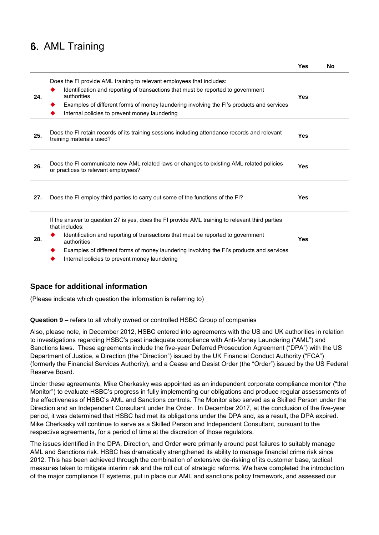### **6. AML Training**

|     |                                                                                                                                                                                                                                                                                                                                                                   | 1 es | NΟ |
|-----|-------------------------------------------------------------------------------------------------------------------------------------------------------------------------------------------------------------------------------------------------------------------------------------------------------------------------------------------------------------------|------|----|
| 24. | Does the FI provide AML training to relevant employees that includes:<br>Identification and reporting of transactions that must be reported to government<br>authorities<br>Examples of different forms of money laundering involving the FI's products and services<br>Internal policies to prevent money laundering                                             | Yes  |    |
| 25. | Does the FI retain records of its training sessions including attendance records and relevant<br>training materials used?                                                                                                                                                                                                                                         | Yes  |    |
| 26. | Does the FI communicate new AML related laws or changes to existing AML related policies<br>or practices to relevant employees?                                                                                                                                                                                                                                   | Yes  |    |
| 27. | Does the FI employ third parties to carry out some of the functions of the FI?                                                                                                                                                                                                                                                                                    | Yes  |    |
| 28. | If the answer to question 27 is yes, does the FI provide AML training to relevant third parties<br>that includes:<br>Identification and reporting of transactions that must be reported to government<br>authorities<br>Examples of different forms of money laundering involving the FI's products and services<br>Internal policies to prevent money laundering | Yes  |    |

**Yes No**

#### **Space for additional information**

(Please indicate which question the information is referring to)

#### **Question 9** – refers to all wholly owned or controlled HSBC Group of companies

Also, please note, in December 2012, HSBC entered into agreements with the US and UK authorities in relation to investigations regarding HSBC's past inadequate compliance with Anti-Money Laundering ("AML") and Sanctions laws. These agreements include the five-year Deferred Prosecution Agreement ("DPA") with the US Department of Justice, a Direction (the "Direction") issued by the UK Financial Conduct Authority ("FCA") (formerly the Financial Services Authority), and a Cease and Desist Order (the "Order") issued by the US Federal Reserve Board.

Under these agreements, Mike Cherkasky was appointed as an independent corporate compliance monitor ("the Monitor") to evaluate HSBC's progress in fully implementing our obligations and produce regular assessments of the effectiveness of HSBC's AML and Sanctions controls. The Monitor also served as a Skilled Person under the Direction and an Independent Consultant under the Order. In December 2017, at the conclusion of the five-year period, it was determined that HSBC had met its obligations under the DPA and, as a result, the DPA expired. Mike Cherkasky will continue to serve as a Skilled Person and Independent Consultant, pursuant to the respective agreements, for a period of time at the discretion of those regulators.

The issues identified in the DPA, Direction, and Order were primarily around past failures to suitably manage AML and Sanctions risk. HSBC has dramatically strengthened its ability to manage financial crime risk since 2012. This has been achieved through the combination of extensive de-risking of its customer base, tactical measures taken to mitigate interim risk and the roll out of strategic reforms. We have completed the introduction of the major compliance IT systems, put in place our AML and sanctions policy framework, and assessed our